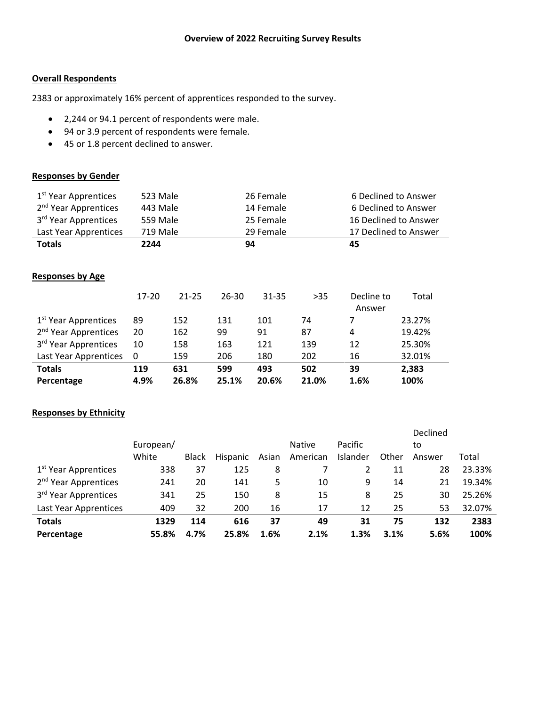### **Overall Respondents**

2383 or approximately 16% percent of apprentices responded to the survey.

- 2,244 or 94.1 percent of respondents were male.
- 94 or 3.9 percent of respondents were female.
- 45 or 1.8 percent declined to answer.

# **Responses by Gender**

| 1 <sup>st</sup> Year Apprentices | 523 Male |           |           | 26 Female |                       |                      | 6 Declined to Answer  |  |  |
|----------------------------------|----------|-----------|-----------|-----------|-----------------------|----------------------|-----------------------|--|--|
| 2 <sup>nd</sup> Year Apprentices | 443 Male |           |           | 14 Female |                       |                      | 6 Declined to Answer  |  |  |
| 3 <sup>rd</sup> Year Apprentices |          | 559 Male  |           | 25 Female |                       |                      | 16 Declined to Answer |  |  |
| Last Year Apprentices            | 719 Male | 29 Female |           |           | 17 Declined to Answer |                      |                       |  |  |
| <b>Totals</b>                    | 2244     |           | 94        |           |                       | 45                   |                       |  |  |
|                                  |          |           |           |           |                       |                      |                       |  |  |
| <b>Responses by Age</b>          |          |           |           |           |                       |                      |                       |  |  |
|                                  | 17-20    | $21 - 25$ | $26 - 30$ | 31-35     | $>35$                 | Decline to<br>Answer | Total                 |  |  |
| 1 <sup>st</sup> Year Apprentices | 89       | 152       | 131       | 101       | 74                    | 7                    | 23.27%                |  |  |
| 2 <sup>nd</sup> Year Apprentices | 20       | 162       | 99        | 91        | 87                    | 4                    | 19.42%                |  |  |
| 3 <sup>rd</sup> Year Apprentices | 10       | 158       | 163       | 121       | 139                   | 12                   | 25.30%                |  |  |
| Last Year Apprentices            | 0        | 159       | 206       | 180       | 202                   | 16                   | 32.01%                |  |  |
| <b>Totals</b>                    | 119      | 631       | 599       | 493       | 502                   | 39                   | 2,383                 |  |  |
| Percentage                       | 4.9%     | 26.8%     | 25.1%     | 20.6%     | 21.0%                 | 1.6%                 | 100%                  |  |  |

### **Responses by Ethnicity**

|                                  |           |              |          |       |               |          |       | Declined |        |
|----------------------------------|-----------|--------------|----------|-------|---------------|----------|-------|----------|--------|
|                                  | European/ |              |          |       | <b>Native</b> | Pacific  |       | to       |        |
|                                  | White     | <b>Black</b> | Hispanic | Asian | American      | Islander | Other | Answer   | Total  |
| 1 <sup>st</sup> Year Apprentices | 338       | 37           | 125      | 8     |               | 2        | 11    | 28       | 23.33% |
| 2 <sup>nd</sup> Year Apprentices | 241       | 20           | 141      | 5     | 10            | 9        | 14    | 21       | 19.34% |
| 3 <sup>rd</sup> Year Apprentices | 341       | 25           | 150      | 8     | 15            | 8        | 25    | 30       | 25.26% |
| Last Year Apprentices            | 409       | 32           | 200      | 16    | 17            | 12       | 25    | 53       | 32.07% |
| <b>Totals</b>                    | 1329      | 114          | 616      | 37    | 49            | 31       | 75    | 132      | 2383   |
| Percentage                       | 55.8%     | 4.7%         | 25.8%    | 1.6%  | 2.1%          | 1.3%     | 3.1%  | 5.6%     | 100%   |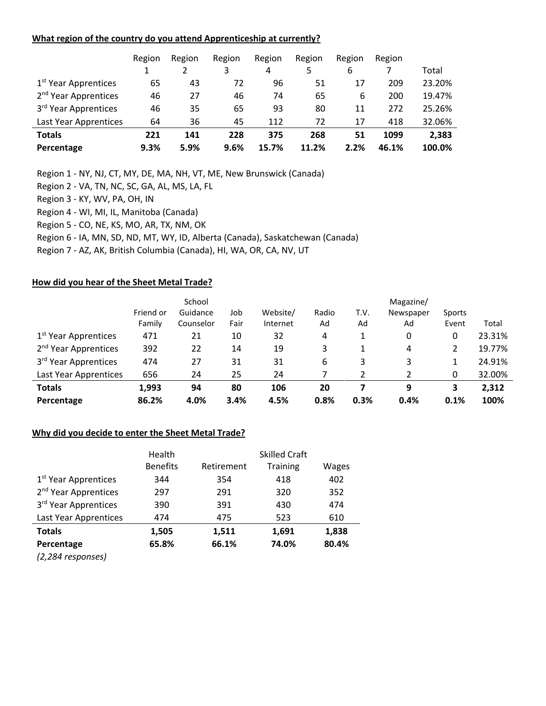#### **What region of the country do you attend Apprenticeship at currently?**

|                                  | Region | Region | Region | Region | Region | Region | Region |        |
|----------------------------------|--------|--------|--------|--------|--------|--------|--------|--------|
|                                  |        |        | 3      | 4      | 5      | 6      |        | Total  |
| 1 <sup>st</sup> Year Apprentices | 65     | 43     | 72     | 96     | 51     | 17     | 209    | 23.20% |
| 2 <sup>nd</sup> Year Apprentices | 46     | 27     | 46     | 74     | 65     | 6      | 200    | 19.47% |
| 3 <sup>rd</sup> Year Apprentices | 46     | 35     | 65     | 93     | 80     | 11     | 272    | 25.26% |
| Last Year Apprentices            | 64     | 36     | 45     | 112    | 72     | 17     | 418    | 32.06% |
| <b>Totals</b>                    | 221    | 141    | 228    | 375    | 268    | 51     | 1099   | 2,383  |
| Percentage                       | 9.3%   | 5.9%   | 9.6%   | 15.7%  | 11.2%  | 2.2%   | 46.1%  | 100.0% |

Region 1 - NY, NJ, CT, MY, DE, MA, NH, VT, ME, New Brunswick (Canada)

Region 2 - VA, TN, NC, SC, GA, AL, MS, LA, FL

Region 3 - KY, WV, PA, OH, IN

Region 4 - WI, MI, IL, Manitoba (Canada)

Region 5 - CO, NE, KS, MO, AR, TX, NM, OK

Region 6 - IA, MN, SD, ND, MT, WY, ID, Alberta (Canada), Saskatchewan (Canada)

Region 7 - AZ, AK, British Columbia (Canada), HI, WA, OR, CA, NV, UT

### **How did you hear of the Sheet Metal Trade?**

|                                  |           | School    |      |          | Magazine/ |      |           |        |        |
|----------------------------------|-----------|-----------|------|----------|-----------|------|-----------|--------|--------|
|                                  | Friend or | Guidance  | Job  | Website/ | Radio     | T.V. | Newspaper | Sports |        |
|                                  | Family    | Counselor | Fair | Internet | Ad        | Ad   | Ad        | Event  | Total  |
| 1 <sup>st</sup> Year Apprentices | 471       | 21        | 10   | 32       | 4         | 1    | 0         | 0      | 23.31% |
| 2 <sup>nd</sup> Year Apprentices | 392       | 22        | 14   | 19       | 3         |      | 4         | 2      | 19.77% |
| 3 <sup>rd</sup> Year Apprentices | 474       | 27        | 31   | 31       | 6         | 3    | 3         | 1      | 24.91% |
| Last Year Apprentices            | 656       | 24        | 25   | 24       |           |      | 2         | 0      | 32.00% |
| <b>Totals</b>                    | 1,993     | 94        | 80   | 106      | 20        |      | 9         | 3      | 2,312  |
| Percentage                       | 86.2%     | 4.0%      | 3.4% | 4.5%     | 0.8%      | 0.3% | 0.4%      | 0.1%   | 100%   |

### **Why did you decide to enter the Sheet Metal Trade?**

|                                  | Health          |            | <b>Skilled Craft</b> |       |
|----------------------------------|-----------------|------------|----------------------|-------|
|                                  | <b>Benefits</b> | Retirement | <b>Training</b>      | Wages |
| 1 <sup>st</sup> Year Apprentices | 344             | 354        | 418                  | 402   |
| 2 <sup>nd</sup> Year Apprentices | 297             | 291        | 320                  | 352   |
| 3rd Year Apprentices             | 390             | 391        | 430                  | 474   |
| Last Year Apprentices            | 474             | 475        | 523                  | 610   |
| <b>Totals</b>                    | 1,505           | 1,511      | 1,691                | 1,838 |
| Percentage                       | 65.8%           | 66.1%      | 74.0%                | 80.4% |
| (2,284 responses)                |                 |            |                      |       |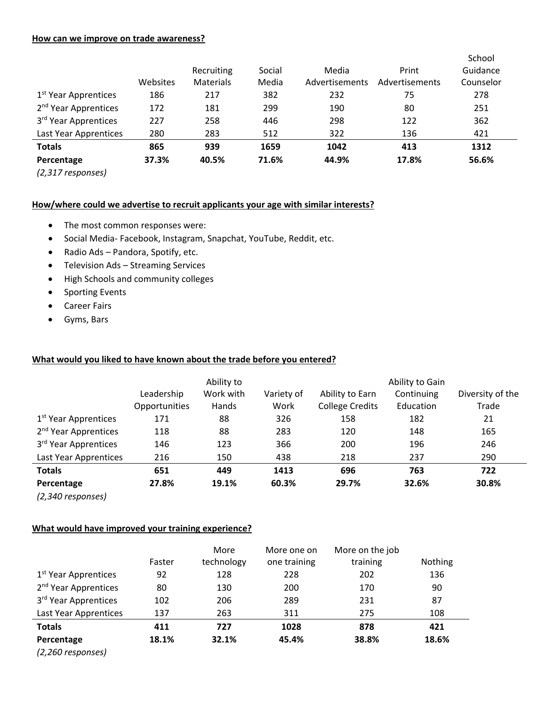#### **How can we improve on trade awareness?**

|                                  |          | Recruiting       | Social | Media          | Print          | School<br>Guidance |
|----------------------------------|----------|------------------|--------|----------------|----------------|--------------------|
|                                  | Websites | <b>Materials</b> | Media  | Advertisements | Advertisements | Counselor          |
| 1 <sup>st</sup> Year Apprentices | 186      | 217              | 382    | 232            | 75             | 278                |
| 2 <sup>nd</sup> Year Apprentices | 172      | 181              | 299    | 190            | 80             | 251                |
| 3 <sup>rd</sup> Year Apprentices | 227      | 258              | 446    | 298            | 122            | 362                |
| Last Year Apprentices            | 280      | 283              | 512    | 322            | 136            | 421                |
| <b>Totals</b>                    | 865      | 939              | 1659   | 1042           | 413            | 1312               |
| Percentage                       | 37.3%    | 40.5%            | 71.6%  | 44.9%          | 17.8%          | 56.6%              |

*(2,317 responses)*

### **How/where could we advertise to recruit applicants your age with similar interests?**

- The most common responses were:
- Social Media- Facebook, Instagram, Snapchat, YouTube, Reddit, etc.
- Radio Ads Pandora, Spotify, etc.
- Television Ads Streaming Services
- High Schools and community colleges
- Sporting Events
- Career Fairs
- Gyms, Bars

### **What would you liked to have known about the trade before you entered?**

|                                  | Ability to    |           |            | Ability to Gain        |            |                  |  |
|----------------------------------|---------------|-----------|------------|------------------------|------------|------------------|--|
|                                  | Leadership    | Work with | Variety of | Ability to Earn        | Continuing | Diversity of the |  |
|                                  | Opportunities | Hands     | Work       | <b>College Credits</b> | Education  | Trade            |  |
| 1 <sup>st</sup> Year Apprentices | 171           | 88        | 326        | 158                    | 182        | 21               |  |
| 2 <sup>nd</sup> Year Apprentices | 118           | 88        | 283        | 120                    | 148        | 165              |  |
| 3 <sup>rd</sup> Year Apprentices | 146           | 123       | 366        | 200                    | 196        | 246              |  |
| Last Year Apprentices            | 216           | 150       | 438        | 218                    | 237        | 290              |  |
| <b>Totals</b>                    | 651           | 449       | 1413       | 696                    | 763        | 722              |  |
| Percentage                       | 27.8%         | 19.1%     | 60.3%      | 29.7%                  | 32.6%      | 30.8%            |  |
| (2,340 responses)                |               |           |            |                        |            |                  |  |

### **What would have improved your training experience?**

|                                  | Faster | More<br>technology | More one on<br>one training | More on the job<br>training | Nothing |
|----------------------------------|--------|--------------------|-----------------------------|-----------------------------|---------|
| 1 <sup>st</sup> Year Apprentices | 92     | 128                | 228                         | 202                         | 136     |
| 2 <sup>nd</sup> Year Apprentices | 80     | 130                | 200                         | 170                         | 90      |
| 3 <sup>rd</sup> Year Apprentices | 102    | 206                | 289                         | 231                         | 87      |
| Last Year Apprentices            | 137    | 263                | 311                         | 275                         | 108     |
| <b>Totals</b>                    | 411    | 727                | 1028                        | 878                         | 421     |
| Percentage                       | 18.1%  | 32.1%              | 45.4%                       | 38.8%                       | 18.6%   |
| $(2.20 \times 10^{-11})$         |        |                    |                             |                             |         |

*(2,260 responses)*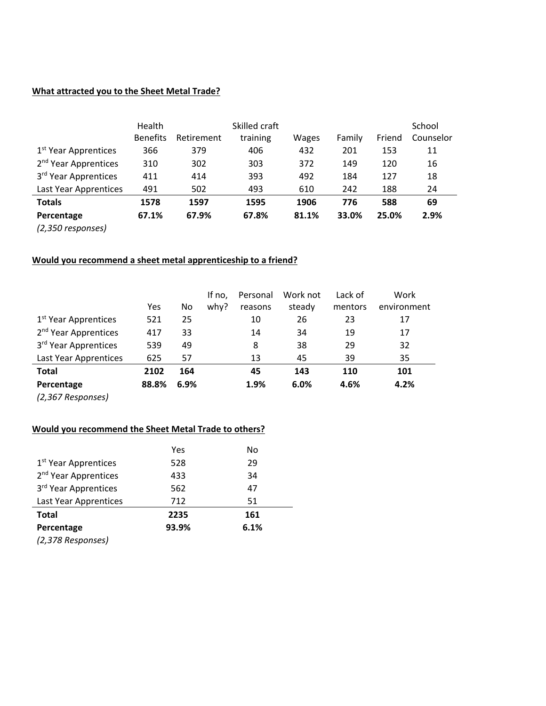# **What attracted you to the Sheet Metal Trade?**

|                                  | Health<br>Skilled craft |            |          |       |        | School |           |  |
|----------------------------------|-------------------------|------------|----------|-------|--------|--------|-----------|--|
|                                  | <b>Benefits</b>         | Retirement | training | Wages | Family | Friend | Counselor |  |
| 1 <sup>st</sup> Year Apprentices | 366                     | 379        | 406      | 432   | 201    | 153    | 11        |  |
| 2 <sup>nd</sup> Year Apprentices | 310                     | 302        | 303      | 372   | 149    | 120    | 16        |  |
| 3 <sup>rd</sup> Year Apprentices | 411                     | 414        | 393      | 492   | 184    | 127    | 18        |  |
| Last Year Apprentices            | 491                     | 502        | 493      | 610   | 242    | 188    | 24        |  |
| <b>Totals</b>                    | 1578                    | 1597       | 1595     | 1906  | 776    | 588    | 69        |  |
| Percentage                       | 67.1%                   | 67.9%      | 67.8%    | 81.1% | 33.0%  | 25.0%  | 2.9%      |  |
| (2,350 responses)                |                         |            |          |       |        |        |           |  |

### **Would you recommend a sheet metal apprenticeship to a friend?**

|                                  |       |      | If no, | Personal | Work not | Lack of | Work        |
|----------------------------------|-------|------|--------|----------|----------|---------|-------------|
|                                  | Yes   | No   | why?   | reasons  | steady   | mentors | environment |
| 1 <sup>st</sup> Year Apprentices | 521   | 25   |        | 10       | 26       | 23      | 17          |
| 2 <sup>nd</sup> Year Apprentices | 417   | 33   |        | 14       | 34       | 19      | 17          |
| 3rd Year Apprentices             | 539   | 49   |        | 8        | 38       | 29      | 32          |
| Last Year Apprentices            | 625   | 57   |        | 13       | 45       | 39      | 35          |
| Total                            | 2102  | 164  |        | 45       | 143      | 110     | 101         |
| Percentage                       | 88.8% | 6.9% |        | 1.9%     | 6.0%     | 4.6%    | 4.2%        |
|                                  |       |      |        |          |          |         |             |

*(2,367 Responses)*

# **Would you recommend the Sheet Metal Trade to others?**

|                                  | Yes   | No   |
|----------------------------------|-------|------|
| 1 <sup>st</sup> Year Apprentices | 528   | 29   |
| 2 <sup>nd</sup> Year Apprentices | 433   | 34   |
| 3 <sup>rd</sup> Year Apprentices | 562   | 47   |
| Last Year Apprentices            | 712   | 51   |
| <b>Total</b>                     | 2235  | 161  |
| Percentage                       | 93.9% | 6.1% |
| (2,378 Responses)                |       |      |